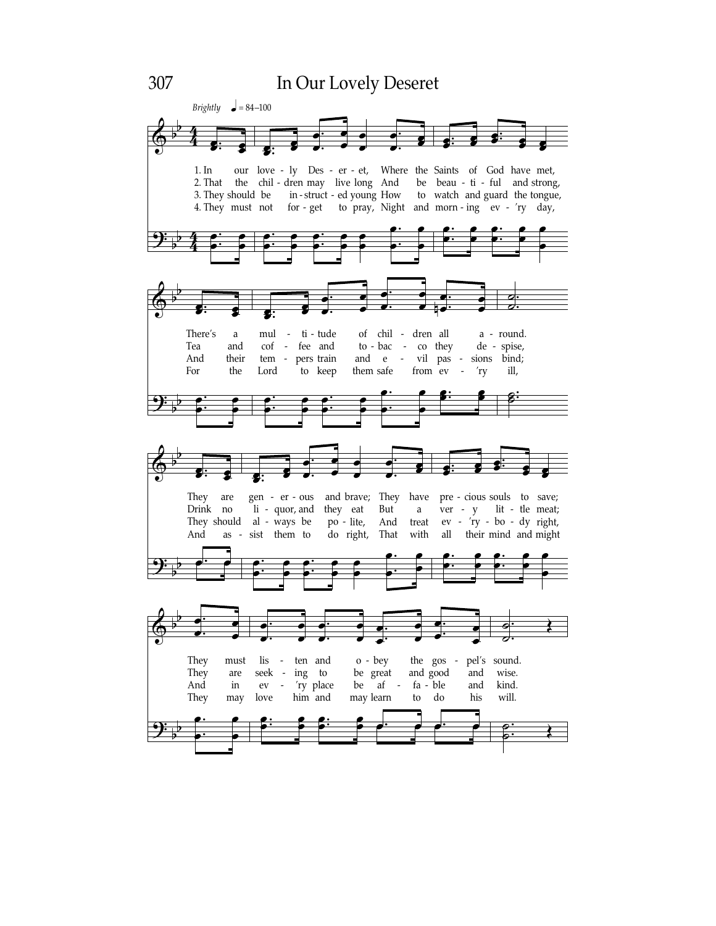